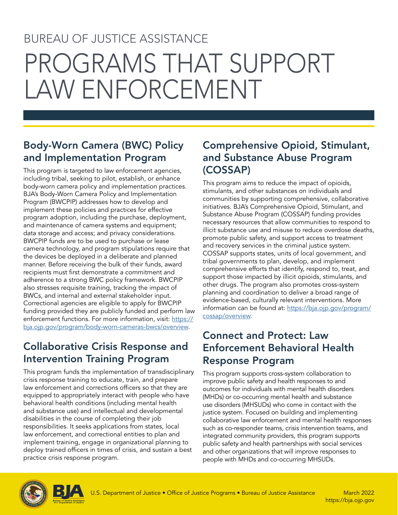## BUREAU OF JUSTICE ASSISTANCE

# PROGRAMS THAT SUPPORT LAW ENFORCEMENT

## Body-Worn Camera (BWC) Policy and Implementation Program

This program is targeted to law enforcement agencies, including tribal, seeking to pilot, establish, or enhance body-worn camera policy and implementation practices. BJA's Body-Worn Camera Policy and Implementation Program (BWCPIP) addresses how to develop and implement these policies and practices for effective program adoption, including the purchase, deployment, and maintenance of camera systems and equipment; data storage and access; and privacy considerations. BWCPIP funds are to be used to purchase or lease camera technology, and program stipulations require that the devices be deployed in a deliberate and planned manner. Before receiving the bulk of their funds, award recipients must first demonstrate a commitment and adherence to a strong BWC policy framework. BWCPIP also stresses requisite training, tracking the impact of BWCs, and internal and external stakeholder input. Correctional agencies are eligible to apply for BWCPIP funding provided they are publicly funded and perform law enforcement functions. For more information, visit: [https://](https://bja.ojp.gov/program/body-worn-cameras-bwcs/overview) [bja.ojp.gov/program/body-worn-cameras-bwcs/overview.](https://bja.ojp.gov/program/body-worn-cameras-bwcs/overview)

## Collaborative Crisis Response and Intervention Training Program

This program funds the implementation of transdisciplinary crisis response training to educate, train, and prepare law enforcement and corrections officers so that they are equipped to appropriately interact with people who have behavioral health conditions (including mental health and substance use) and intellectual and developmental disabilities in the course of completing their job responsibilities. It seeks applications from states, local law enforcement, and correctional entities to plan and implement training, engage in organizational planning to deploy trained officers in times of crisis, and sustain a best practice crisis response program.

#### Comprehensive Opioid, Stimulant, and Substance Abuse Program (COSSAP)

This program aims to reduce the impact of opioids, stimulants, and other substances on individuals and communities by supporting comprehensive, collaborative initiatives. BJA's Comprehensive Opioid, Stimulant, and Substance Abuse Program (COSSAP) funding provides necessary resources that allow communities to respond to illicit substance use and misuse to reduce overdose deaths, promote public safety, and support access to treatment and recovery services in the criminal justice system. COSSAP supports states, units of local government, and tribal governments to plan, develop, and implement comprehensive efforts that identify, respond to, treat, and support those impacted by illicit opioids, stimulants, and other drugs. The program also promotes cross-system planning and coordination to deliver a broad range of evidence-based, culturally relevant interventions. More information can be found at: https://bja.ojp.gov/program/ [cossap/overview](https://bja.ojp.gov/program/cossap/overview).

## Connect and Protect: Law Enforcement Behavioral Health Response Program

This program supports cross-system collaboration to improve public safety and health responses to and outcomes for individuals with mental health disorders (MHDs) or co-occurring mental health and substance use disorders (MHSUDs) who come in contact with the justice system. Focused on building and implementing collaborative law enforcement and mental health responses such as co-responder teams, crisis intervention teams, and integrated community providers, this program supports public safety and health partnerships with social services and other organizations that will improve responses to people with MHDs and co-occurring MHSUDs.



March 2022 <https://bja.ojp.gov>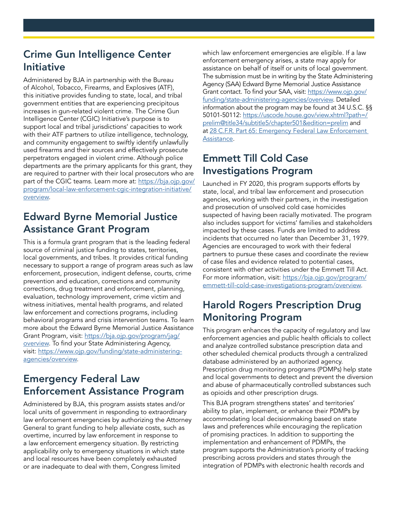#### Crime Gun Intelligence Center Initiative

Administered by BJA in partnership with the Bureau of Alcohol, Tobacco, Firearms, and Explosives (ATF), this initiative provides funding to state, local, and tribal government entities that are experiencing precipitous increases in gun-related violent crime. The Crime Gun Intelligence Center (CGIC) Initiative's purpose is to support local and tribal jurisdictions' capacities to work with their ATF partners to utilize intelligence, technology, and community engagement to swiftly identify unlawfully used firearms and their sources and effectively prosecute perpetrators engaged in violent crime. Although police departments are the primary applicants for this grant, they are required to partner with their local prosecutors who are part of the CGIC teams. Learn more at: https://bja.ojp.gov/ [program/local-law-enforcement-cgic-integration-initiative/](https://bja.ojp.gov/program/local-law-enforcement-cgic-integration-initiative/overview)  [overview](https://bja.ojp.gov/program/local-law-enforcement-cgic-integration-initiative/overview).

#### Edward Byrne Memorial Justice Assistance Grant Program

This is a formula grant program that is the leading federal source of criminal justice funding to states, territories, local governments, and tribes. It provides critical funding necessary to support a range of program areas such as law enforcement, prosecution, indigent defense, courts, crime prevention and education, corrections and community corrections, drug treatment and enforcement, planning, evaluation, technology improvement, crime victim and witness initiatives, mental health programs, and related law enforcement and corrections programs, including behavioral programs and crisis intervention teams. To learn more about the Edward Byrne Memorial Justice Assistance Grant Program, visit: https://bja.ojp.gov/program/jag/ [overview](https://bja.ojp.gov/program/jag/overview). To find your State Administering Agency, visit: [https://www.ojp.gov/funding/state-administering](https://www.ojp.gov/funding/state-administering-agencies/overview)[agencies/overview](https://www.ojp.gov/funding/state-administering-agencies/overview).

#### Emergency Federal Law Enforcement Assistance Program

Administered by BJA, this program assists states and/or local units of government in responding to extraordinary law enforcement emergencies by authorizing the Attorney General to grant funding to help alleviate costs, such as overtime, incurred by law enforcement in response to a law enforcement emergency situation. By restricting applicability only to emergency situations in which state and local resources have been completely exhausted or are inadequate to deal with them, Congress limited

which law enforcement emergencies are eligible. If a law enforcement emergency arises, a state may apply for assistance on behalf of itself or units of local government. The submission must be in writing by the State Administering Agency (SAA) Edward Byrne Memorial Justice Assistance Grant contact. To find your SAA, visit: [https://www.ojp.gov/](https://www.ojp.gov/funding/state-administering-agencies/overview) [funding/state-administering-agencies/overview](https://www.ojp.gov/funding/state-administering-agencies/overview). Detailed information about the program may be found at 34 U.S.C. §§ 50101-50112: https://uscode.house.gov/view.xhtml?path=/ [prelim@title34/subtitle5/chapter501&edition=prelim](https://uscode.house.gov/view.xhtml?path=/prelim@title34/subtitle5/chapter501&edition=prelim) and at 28 C.F.R. Part 65: Emergency Federal Law Enforcement [Assistance](https://www.ecfr.gov/current/title-28/chapter-I/part-65?toc=1).

#### Emmett Till Cold Case Investigations Program

Launched in FY 2020, this program supports efforts by state, local, and tribal law enforcement and prosecution agencies, working with their partners, in the investigation and prosecution of unsolved cold case homicides suspected of having been racially motivated. The program also includes support for victims' families and stakeholders impacted by these cases. Funds are limited to address incidents that occurred no later than December 31, 1979. Agencies are encouraged to work with their federal partners to pursue these cases and coordinate the review of case fles and evidence related to potential cases, consistent with other activities under the Emmett Till Act. For more information, visit: [https://bja.ojp.gov/program/](https://bja.ojp.gov/program/emmett-till-cold-case-investigations-program/overview) [emmett-till-cold-case-investigations-program/overview](https://bja.ojp.gov/program/emmett-till-cold-case-investigations-program/overview).

#### Harold Rogers Prescription Drug Monitoring Program

This program enhances the capacity of regulatory and law enforcement agencies and public health officials to collect and analyze controlled substance prescription data and other scheduled chemical products through a centralized database administered by an authorized agency. Prescription drug monitoring programs (PDMPs) help state and local governments to detect and prevent the diversion and abuse of pharmaceutically controlled substances such as opioids and other prescription drugs.

This BJA program strengthens states' and territories' ability to plan, implement, or enhance their PDMPs by accommodating local decisionmaking based on state laws and preferences while encouraging the replication of promising practices. In addition to supporting the implementation and enhancement of PDMPs, the program supports the Administration's priority of tracking prescribing across providers and states through the integration of PDMPs with electronic health records and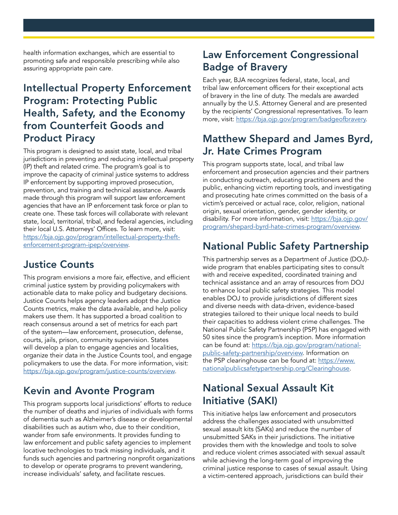health information exchanges, which are essential to promoting safe and responsible prescribing while also assuring appropriate pain care.

#### Intellectual Property Enforcement Program: Protecting Public Health, Safety, and the Economy from Counterfeit Goods and Product Piracy

This program is designed to assist state, local, and tribal jurisdictions in preventing and reducing intellectual property (IP) theft and related crime. The program's goal is to improve the capacity of criminal justice systems to address IP enforcement by supporting improved prosecution, prevention, and training and technical assistance. Awards made through this program will support law enforcement agencies that have an IP enforcement task force or plan to create one. These task forces will collaborate with relevant state, local, territorial, tribal, and federal agencies, including their local U.S. Attorneys' Offices. To learn more, visit: [https://bja.ojp.gov/program/intellectual-property-theft](https://bja.ojp.gov/program/intellectual-property-theft-enforcement-program-ipep/overview)[enforcement-program-ipep/overview](https://bja.ojp.gov/program/intellectual-property-theft-enforcement-program-ipep/overview).

#### Justice Counts

This program envisions a more fair, effective, and efficient criminal justice system by providing policymakers with actionable data to make policy and budgetary decisions. Justice Counts helps agency leaders adopt the Justice Counts metrics, make the data available, and help policy makers use them. It has supported a broad coalition to reach consensus around a set of metrics for each part of the system—law enforcement, prosecution, defense, courts, jails, prison, community supervision. States will develop a plan to engage agencies and localities, organize their data in the Justice Counts tool, and engage policymakers to use the data. For more information, visit: [https://bja.ojp.gov/program/justice-counts/overview.](https://bja.ojp.gov/program/justice-counts/overview)

#### Kevin and Avonte Program

This program supports local jurisdictions' efforts to reduce the number of deaths and injuries of individuals with forms of dementia such as Alzheimer's disease or developmental disabilities such as autism who, due to their condition, wander from safe environments. It provides funding to law enforcement and public safety agencies to implement locative technologies to track missing individuals, and it funds such agencies and partnering nonprofit organizations to develop or operate programs to prevent wandering, increase individuals' safety, and facilitate rescues.

## Law Enforcement Congressional Badge of Bravery

Each year, BJA recognizes federal, state, local, and tribal law enforcement officers for their exceptional acts of bravery in the line of duty. The medals are awarded annually by the U.S. Attorney General and are presented by the recipients' Congressional representatives. To learn more, visit: [https://bja.ojp.gov/program/badgeofbravery.](https://bja.ojp.gov/program/badgeofbravery)

#### Matthew Shepard and James Byrd, Jr. Hate Crimes Program

This program supports state, local, and tribal law enforcement and prosecution agencies and their partners in conducting outreach, educating practitioners and the public, enhancing victim reporting tools, and investigating and prosecuting hate crimes committed on the basis of a victim's perceived or actual race, color, religion, national origin, sexual orientation, gender, gender identity, or disability. For more information, visit: [https://bja.ojp.gov/](https://bja.ojp.gov/program/shepard-byrd-hate-crimes-program/overview) [program/shepard-byrd-hate-crimes-program/overview](https://bja.ojp.gov/program/shepard-byrd-hate-crimes-program/overview).

#### National Public Safety Partnership

This partnership serves as a Department of Justice (DOJ) wide program that enables participating sites to consult with and receive expedited, coordinated training and technical assistance and an array of resources from DOJ to enhance local public safety strategies. This model enables DOJ to provide jurisdictions of different sizes and diverse needs with data-driven, evidence-based strategies tailored to their unique local needs to build their capacities to address violent crime challenges. The National Public Safety Partnership (PSP) has engaged with 50 sites since the program's inception. More information can be found at: [https://bja.ojp.gov/program/national](https://bja.ojp.gov/program/national-public-safety-partnership/overview)[public-safety-partnership/overview.](https://bja.ojp.gov/program/national-public-safety-partnership/overview) Information on the PSP clearinghouse can be found at: [https://www.](https://www.nationalpublicsafetypartnership.org/Clearinghouse) [nationalpublicsafetypartnership.org/Clearinghouse.](https://www.nationalpublicsafetypartnership.org/Clearinghouse)

## National Sexual Assault Kit Initiative (SAKI)

This initiative helps law enforcement and prosecutors address the challenges associated with unsubmitted sexual assault kits (SAKs) and reduce the number of unsubmitted SAKs in their jurisdictions. The initiative provides them with the knowledge and tools to solve and reduce violent crimes associated with sexual assault while achieving the long-term goal of improving the criminal justice response to cases of sexual assault. Using a victim-centered approach, jurisdictions can build their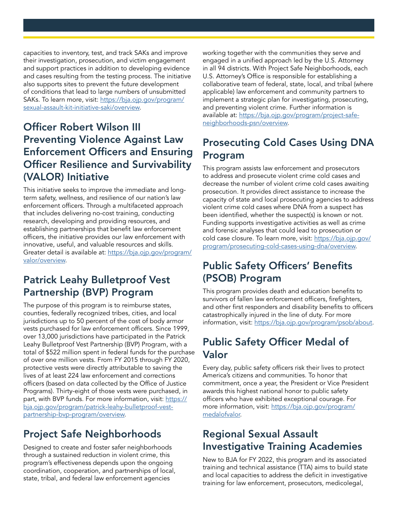capacities to inventory, test, and track SAKs and improve their investigation, prosecution, and victim engagement and support practices in addition to developing evidence and cases resulting from the testing process. The initiative also supports sites to prevent the future development of conditions that lead to large numbers of unsubmitted SAKs. To learn more, visit: [https://bja.ojp.gov/program/](https://bja.ojp.gov/program/sexual-assault-kit-initiative-saki/overview) [sexual-assault-kit-initiative-saki/overview.](https://bja.ojp.gov/program/sexual-assault-kit-initiative-saki/overview)

#### **Officer Robert Wilson III** Preventing Violence Against Law **Enforcement Officers and Ensuring Officer Resilience and Survivability** (VALOR) Initiative

This initiative seeks to improve the immediate and longterm safety, wellness, and resilience of our nation's law enforcement officers. Through a multifaceted approach that includes delivering no-cost training, conducting research, developing and providing resources, and establishing partnerships that benefit law enforcement officers, the initiative provides our law enforcement with innovative, useful, and valuable resources and skills. Greater detail is available at: [https://bja.ojp.gov/program/](https://bja.ojp.gov/program/valor/overview)  [valor/overview](https://bja.ojp.gov/program/valor/overview).

#### Patrick Leahy Bulletproof Vest Partnership (BVP) Program

The purpose of this program is to reimburse states, counties, federally recognized tribes, cities, and local jurisdictions up to 50 percent of the cost of body armor vests purchased for law enforcement officers. Since 1999, over 13,000 jurisdictions have participated in the Patrick Leahy Bulletproof Vest Partnership (BVP) Program, with a total of \$522 million spent in federal funds for the purchase of over one million vests. From FY 2015 through FY 2020, protective vests were directly attributable to saving the lives of at least 224 law enforcement and corrections officers (based on data collected by the Office of Justice Programs). Thirty-eight of those vests were purchased, in part, with BVP funds. For more information, visit: <u>https://</u> [bja.ojp.gov/program/patrick-leahy-bulletproof-vest](https://bja.ojp.gov/program/patrick-leahy-bulletproof-vest-partnership-bvp-program/overview)[partnership-bvp-program/overview.](https://bja.ojp.gov/program/patrick-leahy-bulletproof-vest-partnership-bvp-program/overview)

## Project Safe Neighborhoods

Designed to create and foster safer neighborhoods through a sustained reduction in violent crime, this program's effectiveness depends upon the ongoing coordination, cooperation, and partnerships of local, state, tribal, and federal law enforcement agencies

working together with the communities they serve and engaged in a unifed approach led by the U.S. Attorney in all 94 districts. With Project Safe Neighborhoods, each U.S. Attorney's Office is responsible for establishing a collaborative team of federal, state, local, and tribal (where applicable) law enforcement and community partners to implement a strategic plan for investigating, prosecuting, and preventing violent crime. Further information is available at: [https://bja.ojp.gov/program/project-safe](https://bja.ojp.gov/program/project-safe-neighborhoods-psn/overview)[neighborhoods-psn/overview](https://bja.ojp.gov/program/project-safe-neighborhoods-psn/overview).

## Prosecuting Cold Cases Using DNA Program

This program assists law enforcement and prosecutors to address and prosecute violent crime cold cases and decrease the number of violent crime cold cases awaiting prosecution. It provides direct assistance to increase the capacity of state and local prosecuting agencies to address violent crime cold cases where DNA from a suspect has been identifed, whether the suspect(s) is known or not. Funding supports investigative activities as well as crime and forensic analyses that could lead to prosecution or cold case closure. To learn more, visit: [https://bja.ojp.gov/](https://bja.ojp.gov/program/prosecuting-cold-cases-using-dna/overview)  [program/prosecuting-cold-cases-using-dna/overview.](https://bja.ojp.gov/program/prosecuting-cold-cases-using-dna/overview)

## **Public Safety Officers' Benefits** (PSOB) Program

This program provides death and education benefits to survivors of fallen law enforcement officers, firefighters, and other first responders and disability benefits to officers catastrophically injured in the line of duty. For more information, visit: [https://bja.ojp.gov/program/psob/about.](https://bja.ojp.gov/program/psob/about)

## Public Safety Officer Medal of Valor

Every day, public safety officers risk their lives to protect America's citizens and communities. To honor that commitment, once a year, the President or Vice President awards this highest national honor to public safety officers who have exhibited exceptional courage. For more information, visit: [h](https://bja.ojp.gov/program)ttps://bja.ojp.gov/program/ [medalofvalor](https://bja.ojp.gov/program/medalofvalor).

## Regional Sexual Assault Investigative Training Academies

New to BJA for FY 2022, this program and its associated training and technical assistance (TTA) aims to build state and local capacities to address the deficit in investigative training for law enforcement, prosecutors, medicolegal,